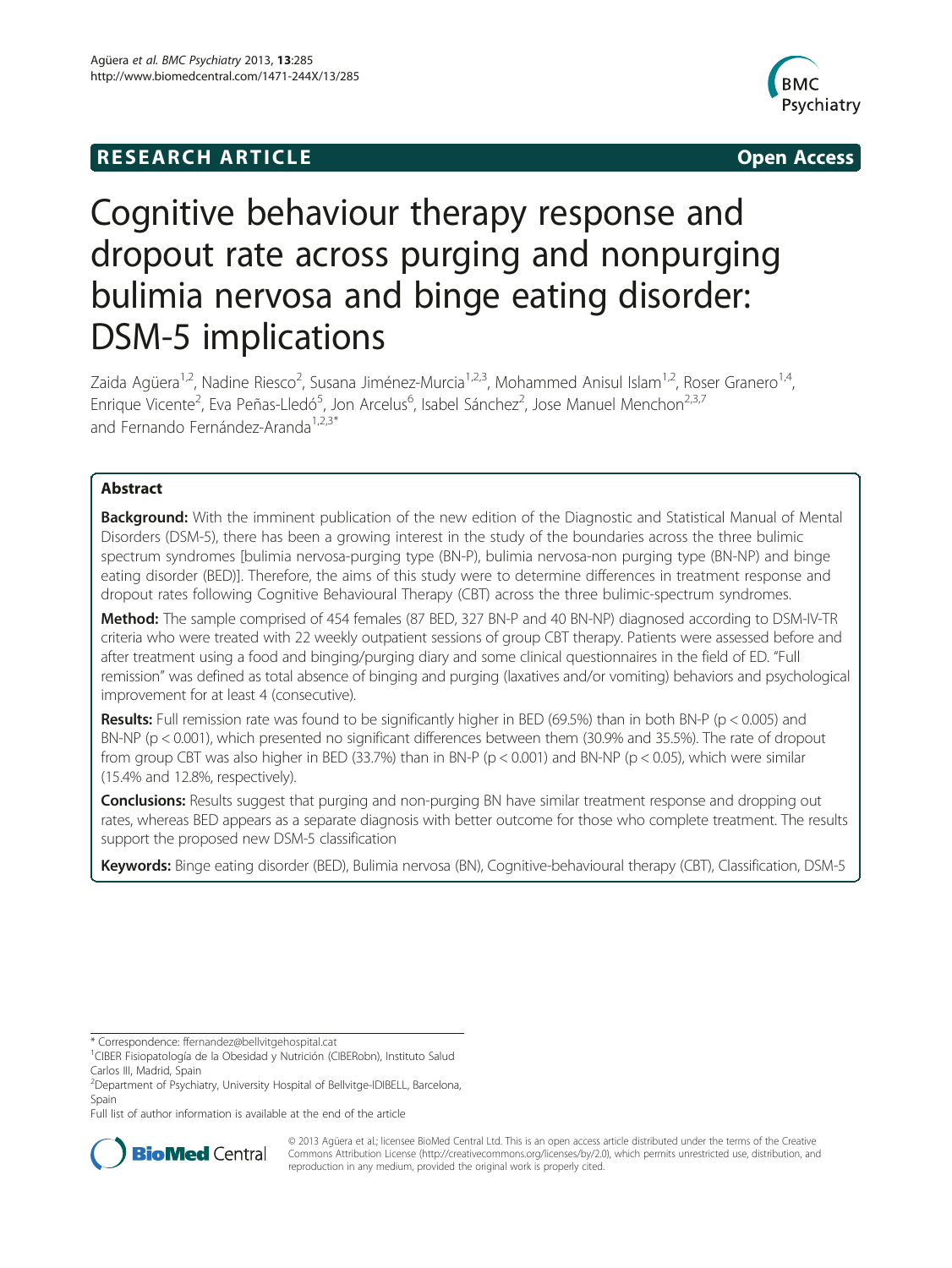## **RESEARCH ARTICLE Example 2014 12:30 The SEAR CHA RESEARCH ARTICLE**



# Cognitive behaviour therapy response and dropout rate across purging and nonpurging bulimia nervosa and binge eating disorder: DSM-5 implications

Zaida Agüera<sup>1,2</sup>, Nadine Riesco<sup>2</sup>, Susana Jiménez-Murcia<sup>1,2,3</sup>, Mohammed Anisul Islam<sup>1,2</sup>, Roser Granero<sup>1,4</sup>, Enrique Vicente<sup>2</sup>, Eva Peñas-Lledó<sup>5</sup>, Jon Arcelus<sup>6</sup>, Isabel Sánchez<sup>2</sup>, Jose Manuel Menchon<sup>2,3,7</sup> and Fernando Fernández-Aranda<sup>1,2,3\*</sup>

## Abstract

**Background:** With the imminent publication of the new edition of the Diagnostic and Statistical Manual of Mental Disorders (DSM-5), there has been a growing interest in the study of the boundaries across the three bulimic spectrum syndromes [bulimia nervosa-purging type (BN-P), bulimia nervosa-non purging type (BN-NP) and binge eating disorder (BED)]. Therefore, the aims of this study were to determine differences in treatment response and dropout rates following Cognitive Behavioural Therapy (CBT) across the three bulimic-spectrum syndromes.

Method: The sample comprised of 454 females (87 BED, 327 BN-P and 40 BN-NP) diagnosed according to DSM-IV-TR criteria who were treated with 22 weekly outpatient sessions of group CBT therapy. Patients were assessed before and after treatment using a food and binging/purging diary and some clinical questionnaires in the field of ED. "Full remission" was defined as total absence of binging and purging (laxatives and/or vomiting) behaviors and psychological improvement for at least 4 (consecutive).

Results: Full remission rate was found to be significantly higher in BED (69.5%) than in both BN-P ( $p < 0.005$ ) and BN-NP (p < 0.001), which presented no significant differences between them (30.9% and 35.5%). The rate of dropout from group CBT was also higher in BED (33.7%) than in BN-P (p < 0.001) and BN-NP (p < 0.05), which were similar (15.4% and 12.8%, respectively).

Conclusions: Results suggest that purging and non-purging BN have similar treatment response and dropping out rates, whereas BED appears as a separate diagnosis with better outcome for those who complete treatment. The results support the proposed new DSM-5 classification

Keywords: Binge eating disorder (BED), Bulimia nervosa (BN), Cognitive-behavioural therapy (CBT), Classification, DSM-5

\* Correspondence: [ffernandez@bellvitgehospital.cat](mailto:ffernandez@bellvitgehospital.cat) <sup>1</sup>

Full list of author information is available at the end of the article



© 2013 Agüera et al.; licensee BioMed Central Ltd. This is an open access article distributed under the terms of the Creative Commons Attribution License [\(http://creativecommons.org/licenses/by/2.0\)](http://creativecommons.org/licenses/by/2.0), which permits unrestricted use, distribution, and reproduction in any medium, provided the original work is properly cited.

<sup>&</sup>lt;sup>1</sup>CIBER Fisiopatología de la Obesidad y Nutrición (CIBERobn), Instituto Salud Carlos III, Madrid, Spain

<sup>&</sup>lt;sup>2</sup>Department of Psychiatry, University Hospital of Bellvitge-IDIBELL, Barcelona, Spain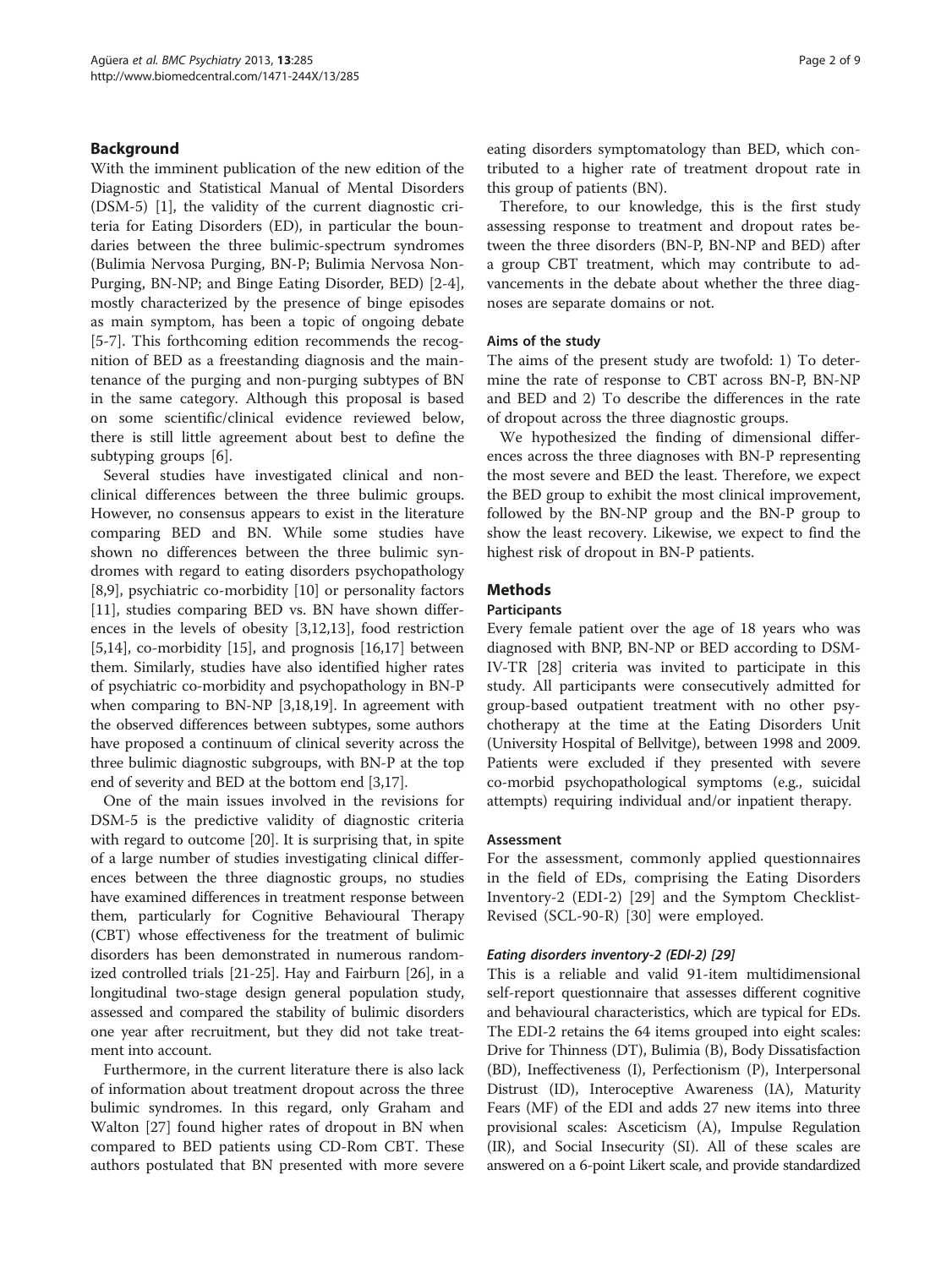## Background

With the imminent publication of the new edition of the Diagnostic and Statistical Manual of Mental Disorders (DSM-5) [\[1](#page-7-0)], the validity of the current diagnostic criteria for Eating Disorders (ED), in particular the boundaries between the three bulimic-spectrum syndromes (Bulimia Nervosa Purging, BN-P; Bulimia Nervosa Non-Purging, BN-NP; and Binge Eating Disorder, BED) [[2-4](#page-7-0)], mostly characterized by the presence of binge episodes as main symptom, has been a topic of ongoing debate [[5-7](#page-7-0)]. This forthcoming edition recommends the recognition of BED as a freestanding diagnosis and the maintenance of the purging and non-purging subtypes of BN in the same category. Although this proposal is based on some scientific/clinical evidence reviewed below, there is still little agreement about best to define the subtyping groups [\[6](#page-7-0)].

Several studies have investigated clinical and nonclinical differences between the three bulimic groups. However, no consensus appears to exist in the literature comparing BED and BN. While some studies have shown no differences between the three bulimic syndromes with regard to eating disorders psychopathology [[8,9\]](#page-7-0), psychiatric co-morbidity [[10\]](#page-7-0) or personality factors [[11\]](#page-7-0), studies comparing BED vs. BN have shown differences in the levels of obesity [[3](#page-7-0),[12](#page-8-0),[13](#page-8-0)], food restriction [[5,](#page-7-0)[14\]](#page-8-0), co-morbidity [\[15](#page-8-0)], and prognosis [\[16,17](#page-8-0)] between them. Similarly, studies have also identified higher rates of psychiatric co-morbidity and psychopathology in BN-P when comparing to BN-NP [\[3](#page-7-0)[,18,19\]](#page-8-0). In agreement with the observed differences between subtypes, some authors have proposed a continuum of clinical severity across the three bulimic diagnostic subgroups, with BN-P at the top end of severity and BED at the bottom end [\[3](#page-7-0)[,17](#page-8-0)].

One of the main issues involved in the revisions for DSM-5 is the predictive validity of diagnostic criteria with regard to outcome [\[20](#page-8-0)]. It is surprising that, in spite of a large number of studies investigating clinical differences between the three diagnostic groups, no studies have examined differences in treatment response between them, particularly for Cognitive Behavioural Therapy (CBT) whose effectiveness for the treatment of bulimic disorders has been demonstrated in numerous randomized controlled trials [[21](#page-8-0)-[25](#page-8-0)]. Hay and Fairburn [[26](#page-8-0)], in a longitudinal two-stage design general population study, assessed and compared the stability of bulimic disorders one year after recruitment, but they did not take treatment into account.

Furthermore, in the current literature there is also lack of information about treatment dropout across the three bulimic syndromes. In this regard, only Graham and Walton [\[27](#page-8-0)] found higher rates of dropout in BN when compared to BED patients using CD-Rom CBT. These authors postulated that BN presented with more severe eating disorders symptomatology than BED, which contributed to a higher rate of treatment dropout rate in this group of patients (BN).

Therefore, to our knowledge, this is the first study assessing response to treatment and dropout rates between the three disorders (BN-P, BN-NP and BED) after a group CBT treatment, which may contribute to advancements in the debate about whether the three diagnoses are separate domains or not.

## Aims of the study

The aims of the present study are twofold: 1) To determine the rate of response to CBT across BN-P, BN-NP and BED and 2) To describe the differences in the rate of dropout across the three diagnostic groups.

We hypothesized the finding of dimensional differences across the three diagnoses with BN-P representing the most severe and BED the least. Therefore, we expect the BED group to exhibit the most clinical improvement, followed by the BN-NP group and the BN-P group to show the least recovery. Likewise, we expect to find the highest risk of dropout in BN-P patients.

## Methods

## Participants

Every female patient over the age of 18 years who was diagnosed with BNP, BN-NP or BED according to DSM-IV-TR [\[28\]](#page-8-0) criteria was invited to participate in this study. All participants were consecutively admitted for group-based outpatient treatment with no other psychotherapy at the time at the Eating Disorders Unit (University Hospital of Bellvitge), between 1998 and 2009. Patients were excluded if they presented with severe co-morbid psychopathological symptoms (e.g., suicidal attempts) requiring individual and/or inpatient therapy.

## Assessment

For the assessment, commonly applied questionnaires in the field of EDs, comprising the Eating Disorders Inventory-2 (EDI-2) [\[29](#page-8-0)] and the Symptom Checklist-Revised (SCL-90-R) [[30\]](#page-8-0) were employed.

## Eating disorders inventory-2 (EDI-2) [[29](#page-8-0)]

This is a reliable and valid 91-item multidimensional self-report questionnaire that assesses different cognitive and behavioural characteristics, which are typical for EDs. The EDI-2 retains the 64 items grouped into eight scales: Drive for Thinness (DT), Bulimia (B), Body Dissatisfaction (BD), Ineffectiveness (I), Perfectionism (P), Interpersonal Distrust (ID), Interoceptive Awareness (IA), Maturity Fears (MF) of the EDI and adds 27 new items into three provisional scales: Asceticism (A), Impulse Regulation (IR), and Social Insecurity (SI). All of these scales are answered on a 6-point Likert scale, and provide standardized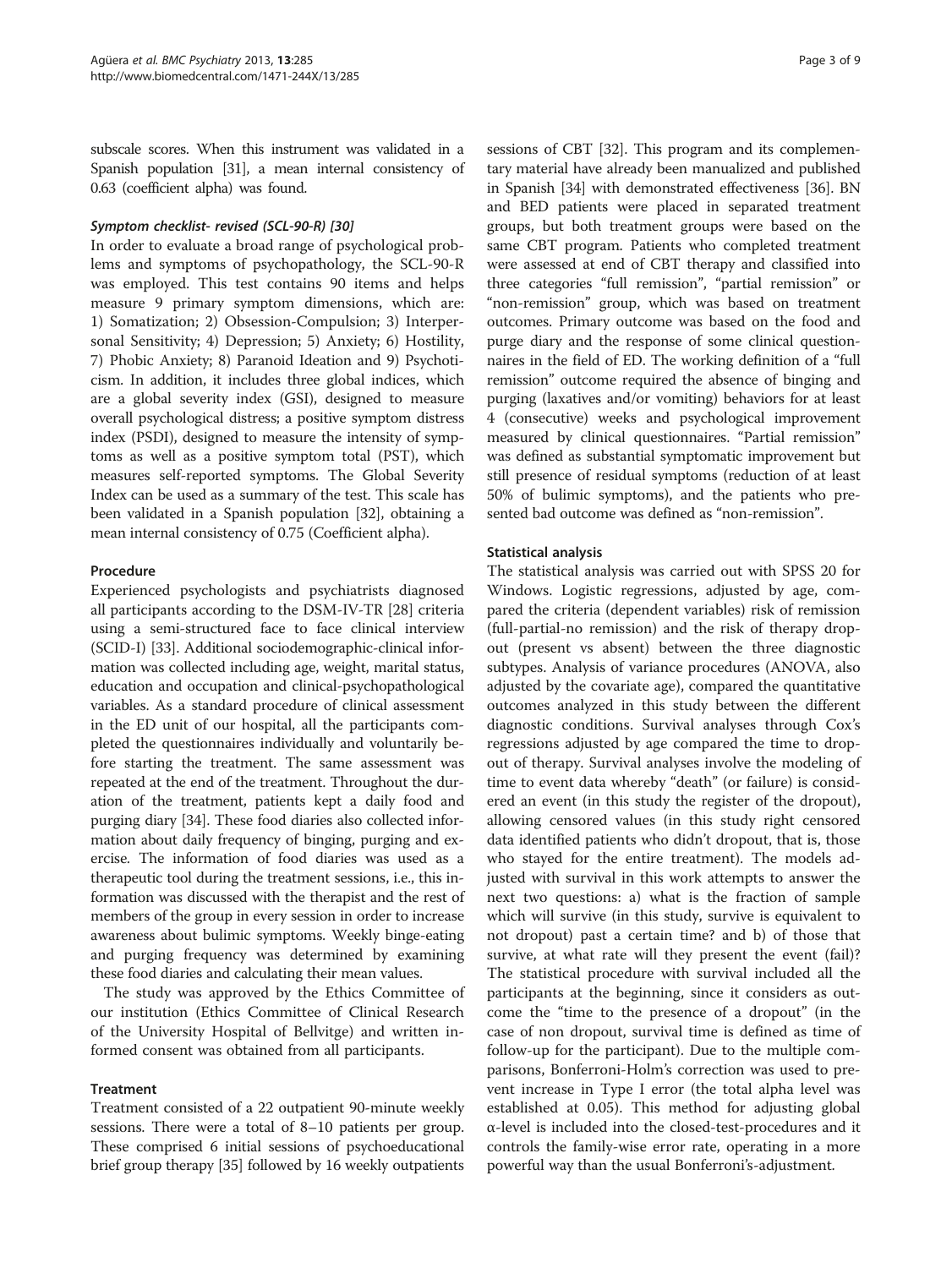subscale scores. When this instrument was validated in a Spanish population [\[31](#page-8-0)], a mean internal consistency of 0.63 (coefficient alpha) was found.

## Symptom checklist- revised (SCL-90-R) [\[30\]](#page-8-0)

In order to evaluate a broad range of psychological problems and symptoms of psychopathology, the SCL-90-R was employed. This test contains 90 items and helps measure 9 primary symptom dimensions, which are: 1) Somatization; 2) Obsession-Compulsion; 3) Interpersonal Sensitivity; 4) Depression; 5) Anxiety; 6) Hostility, 7) Phobic Anxiety; 8) Paranoid Ideation and 9) Psychoticism. In addition, it includes three global indices, which are a global severity index (GSI), designed to measure overall psychological distress; a positive symptom distress index (PSDI), designed to measure the intensity of symptoms as well as a positive symptom total (PST), which measures self-reported symptoms. The Global Severity Index can be used as a summary of the test. This scale has been validated in a Spanish population [\[32](#page-8-0)], obtaining a mean internal consistency of 0.75 (Coefficient alpha).

## Procedure

Experienced psychologists and psychiatrists diagnosed all participants according to the DSM-IV-TR [[28\]](#page-8-0) criteria using a semi-structured face to face clinical interview (SCID-I) [\[33](#page-8-0)]. Additional sociodemographic-clinical information was collected including age, weight, marital status, education and occupation and clinical-psychopathological variables. As a standard procedure of clinical assessment in the ED unit of our hospital, all the participants completed the questionnaires individually and voluntarily before starting the treatment. The same assessment was repeated at the end of the treatment. Throughout the duration of the treatment, patients kept a daily food and purging diary [[34](#page-8-0)]. These food diaries also collected information about daily frequency of binging, purging and exercise. The information of food diaries was used as a therapeutic tool during the treatment sessions, i.e., this information was discussed with the therapist and the rest of members of the group in every session in order to increase awareness about bulimic symptoms. Weekly binge-eating and purging frequency was determined by examining these food diaries and calculating their mean values.

The study was approved by the Ethics Committee of our institution (Ethics Committee of Clinical Research of the University Hospital of Bellvitge) and written informed consent was obtained from all participants.

### Treatment

Treatment consisted of a 22 outpatient 90-minute weekly sessions. There were a total of 8–10 patients per group. These comprised 6 initial sessions of psychoeducational brief group therapy [[35](#page-8-0)] followed by 16 weekly outpatients

sessions of CBT [[32](#page-8-0)]. This program and its complementary material have already been manualized and published in Spanish [\[34\]](#page-8-0) with demonstrated effectiveness [[36\]](#page-8-0). BN and BED patients were placed in separated treatment groups, but both treatment groups were based on the same CBT program. Patients who completed treatment were assessed at end of CBT therapy and classified into three categories "full remission", "partial remission" or "non-remission" group, which was based on treatment outcomes. Primary outcome was based on the food and purge diary and the response of some clinical questionnaires in the field of ED. The working definition of a "full remission" outcome required the absence of binging and purging (laxatives and/or vomiting) behaviors for at least 4 (consecutive) weeks and psychological improvement measured by clinical questionnaires. "Partial remission" was defined as substantial symptomatic improvement but still presence of residual symptoms (reduction of at least 50% of bulimic symptoms), and the patients who presented bad outcome was defined as "non-remission".

## Statistical analysis

The statistical analysis was carried out with SPSS 20 for Windows. Logistic regressions, adjusted by age, compared the criteria (dependent variables) risk of remission (full-partial-no remission) and the risk of therapy dropout (present vs absent) between the three diagnostic subtypes. Analysis of variance procedures (ANOVA, also adjusted by the covariate age), compared the quantitative outcomes analyzed in this study between the different diagnostic conditions. Survival analyses through Cox's regressions adjusted by age compared the time to dropout of therapy. Survival analyses involve the modeling of time to event data whereby "death" (or failure) is considered an event (in this study the register of the dropout), allowing censored values (in this study right censored data identified patients who didn't dropout, that is, those who stayed for the entire treatment). The models adjusted with survival in this work attempts to answer the next two questions: a) what is the fraction of sample which will survive (in this study, survive is equivalent to not dropout) past a certain time? and b) of those that survive, at what rate will they present the event (fail)? The statistical procedure with survival included all the participants at the beginning, since it considers as outcome the "time to the presence of a dropout" (in the case of non dropout, survival time is defined as time of follow-up for the participant). Due to the multiple comparisons, Bonferroni-Holm's correction was used to prevent increase in Type I error (the total alpha level was established at 0.05). This method for adjusting global α-level is included into the closed-test-procedures and it controls the family-wise error rate, operating in a more powerful way than the usual Bonferroni's-adjustment.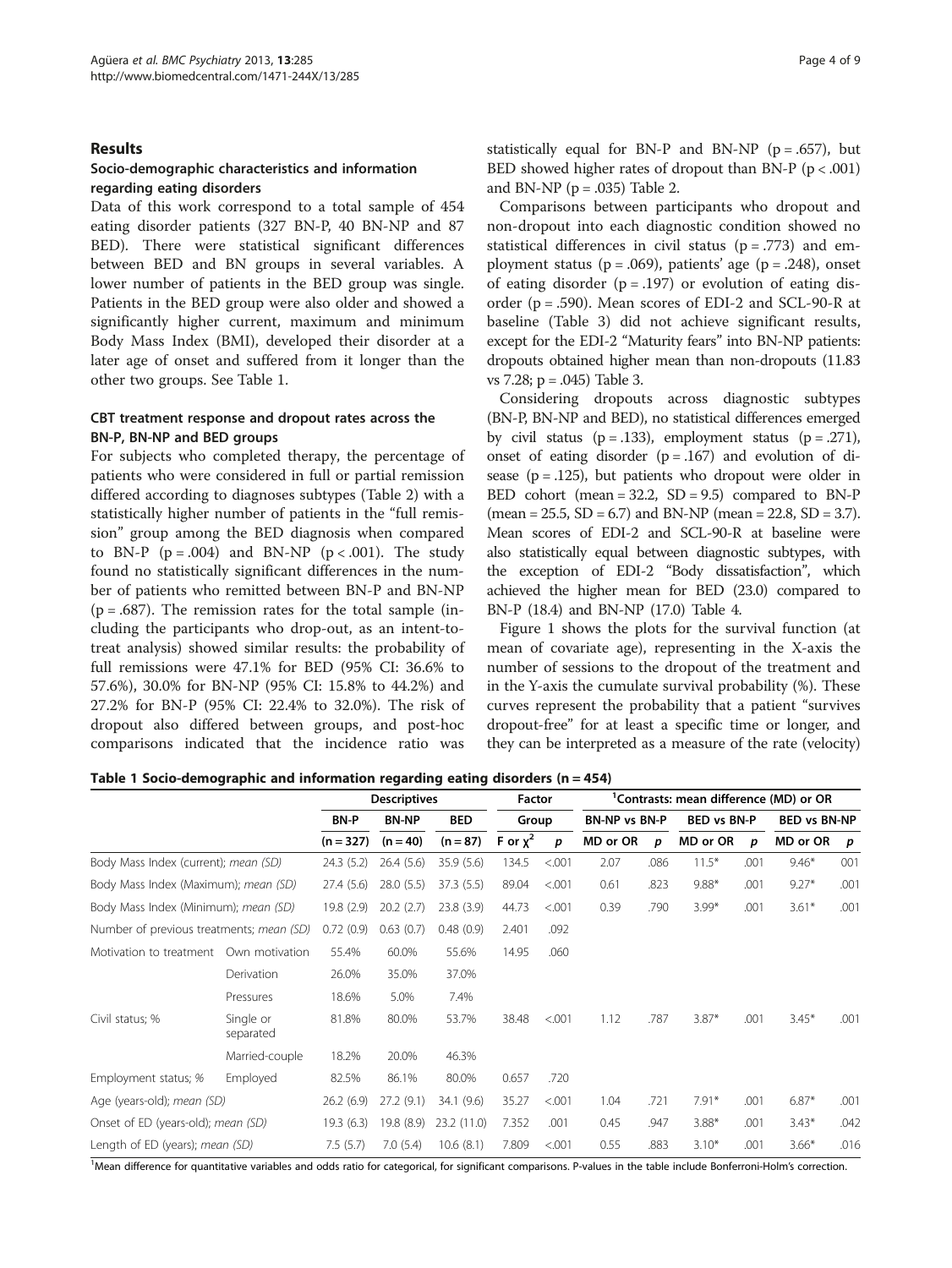## Results

## Socio-demographic characteristics and information regarding eating disorders

Data of this work correspond to a total sample of 454 eating disorder patients (327 BN-P, 40 BN-NP and 87 BED). There were statistical significant differences between BED and BN groups in several variables. A lower number of patients in the BED group was single. Patients in the BED group were also older and showed a significantly higher current, maximum and minimum Body Mass Index (BMI), developed their disorder at a later age of onset and suffered from it longer than the other two groups. See Table 1.

## CBT treatment response and dropout rates across the BN-P, BN-NP and BED groups

For subjects who completed therapy, the percentage of patients who were considered in full or partial remission differed according to diagnoses subtypes (Table [2\)](#page-4-0) with a statistically higher number of patients in the "full remission" group among the BED diagnosis when compared to BN-P  $(p = .004)$  and BN-NP  $(p < .001)$ . The study found no statistically significant differences in the number of patients who remitted between BN-P and BN-NP  $(p = .687)$ . The remission rates for the total sample (including the participants who drop-out, as an intent-totreat analysis) showed similar results: the probability of full remissions were 47.1% for BED (95% CI: 36.6% to 57.6%), 30.0% for BN-NP (95% CI: 15.8% to 44.2%) and 27.2% for BN-P (95% CI: 22.4% to 32.0%). The risk of dropout also differed between groups, and post-hoc comparisons indicated that the incidence ratio was statistically equal for BN-P and BN-NP ( $p = .657$ ), but BED showed higher rates of dropout than BN-P ( $p < .001$ ) and BN-NP ( $p = .035$ ) Table [2](#page-4-0).

Comparisons between participants who dropout and non-dropout into each diagnostic condition showed no statistical differences in civil status  $(p = .773)$  and employment status ( $p = .069$ ), patients' age ( $p = .248$ ), onset of eating disorder  $(p=.197)$  or evolution of eating disorder ( $p = .590$ ). Mean scores of EDI-2 and SCL-90-R at baseline (Table [3](#page-4-0)) did not achieve significant results, except for the EDI-2 "Maturity fears" into BN-NP patients: dropouts obtained higher mean than non-dropouts (11.83 vs 7.28; p = .045) Table [3.](#page-4-0)

Considering dropouts across diagnostic subtypes (BN-P, BN-NP and BED), no statistical differences emerged by civil status  $(p=.133)$ , employment status  $(p=.271)$ , onset of eating disorder  $(p=.167)$  and evolution of disease ( $p = .125$ ), but patients who dropout were older in BED cohort (mean =  $32.2$ , SD =  $9.5$ ) compared to BN-P  $(mean = 25.5, SD = 6.7)$  and BN-NP  $(mean = 22.8, SD = 3.7)$ . Mean scores of EDI-2 and SCL-90-R at baseline were also statistically equal between diagnostic subtypes, with the exception of EDI-2 "Body dissatisfaction", which achieved the higher mean for BED (23.0) compared to BN-P (18.4) and BN-NP (17.0) Table [4](#page-5-0).

Figure [1](#page-5-0) shows the plots for the survival function (at mean of covariate age), representing in the X-axis the number of sessions to the dropout of the treatment and in the Y-axis the cumulate survival probability (%). These curves represent the probability that a patient "survives dropout-free" for at least a specific time or longer, and they can be interpreted as a measure of the rate (velocity)

Table 1 Socio-demographic and information regarding eating disorders (n = 454)

|                                          |                        | <b>Descriptives</b> | Factor       |             | <sup>1</sup> Contrasts: mean difference (MD) or OR |         |          |             |          |                     |          |                  |
|------------------------------------------|------------------------|---------------------|--------------|-------------|----------------------------------------------------|---------|----------|-------------|----------|---------------------|----------|------------------|
|                                          |                        | <b>BN-P</b>         | <b>BN-NP</b> | <b>BED</b>  | <b>BN-NP vs BN-P</b><br>Group                      |         |          | BED vs BN-P |          | <b>BED vs BN-NP</b> |          |                  |
|                                          |                        | $(n = 327)$         | $(n = 40)$   | $(n = 87)$  | F or $\chi^2$                                      | p       | MD or OR | p           | MD or OR | p                   | MD or OR | $\boldsymbol{p}$ |
| Body Mass Index (current); mean (SD)     |                        | 24.3 (5.2)          | 26.4(5.6)    | 35.9 (5.6)  | 134.5                                              | < 0.001 | 2.07     | .086        | $11.5*$  | .001                | $9.46*$  | 001              |
| Body Mass Index (Maximum); mean (SD)     |                        | 27.4 (5.6)          | 28.0 (5.5)   | 37.3 (5.5)  | 89.04                                              | < 0.001 | 0.61     | .823        | $9.88*$  | .001                | $9.27*$  | .001             |
| Body Mass Index (Minimum); mean (SD)     |                        | 19.8 (2.9)          | 20.2(2.7)    | 23.8(3.9)   | 44.73                                              | < 0.001 | 0.39     | .790        | $3.99*$  | .001                | $3.61*$  | .001             |
| Number of previous treatments; mean (SD) |                        | 0.72(0.9)           | 0.63(0.7)    | 0.48(0.9)   | 2.401                                              | .092    |          |             |          |                     |          |                  |
| Motivation to treatment                  | Own motivation         | 55.4%               | 60.0%        | 55.6%       | 14.95                                              | .060    |          |             |          |                     |          |                  |
|                                          | Derivation             | 26.0%               | 35.0%        | 37.0%       |                                                    |         |          |             |          |                     |          |                  |
|                                          | Pressures              | 18.6%               | 5.0%         | 7.4%        |                                                    |         |          |             |          |                     |          |                  |
| Civil status; %                          | Single or<br>separated | 81.8%               | 80.0%        | 53.7%       | 38.48                                              | < 0.001 | 1.12     | .787        | $3.87*$  | .001                | $3.45*$  | .001             |
|                                          | Married-couple         | 18.2%               | 20.0%        | 46.3%       |                                                    |         |          |             |          |                     |          |                  |
| Employment status; %                     | Employed               | 82.5%               | 86.1%        | 80.0%       | 0.657                                              | .720    |          |             |          |                     |          |                  |
| Age (years-old); mean (SD)               |                        | 26.2(6.9)           | 27.2(9.1)    | 34.1 (9.6)  | 35.27                                              | < 0.001 | 1.04     | .721        | $7.91*$  | .001                | $6.87*$  | .001             |
| Onset of ED (years-old); mean (SD)       |                        | 19.3(6.3)           | 19.8 (8.9)   | 23.2 (11.0) | 7.352                                              | .001    | 0.45     | .947        | $3.88*$  | .001                | $3.43*$  | .042             |
| Length of ED (years); mean (SD)          |                        | 7.5(5.7)            | 7.0(5.4)     | 10.6(8.1)   | 7.809                                              | < 0.001 | 0.55     | .883        | $3.10*$  | .001                | $3.66*$  | .016             |

<sup>1</sup>Mean difference for quantitative variables and odds ratio for categorical, for significant comparisons. P-values in the table include Bonferroni-Holm's correction.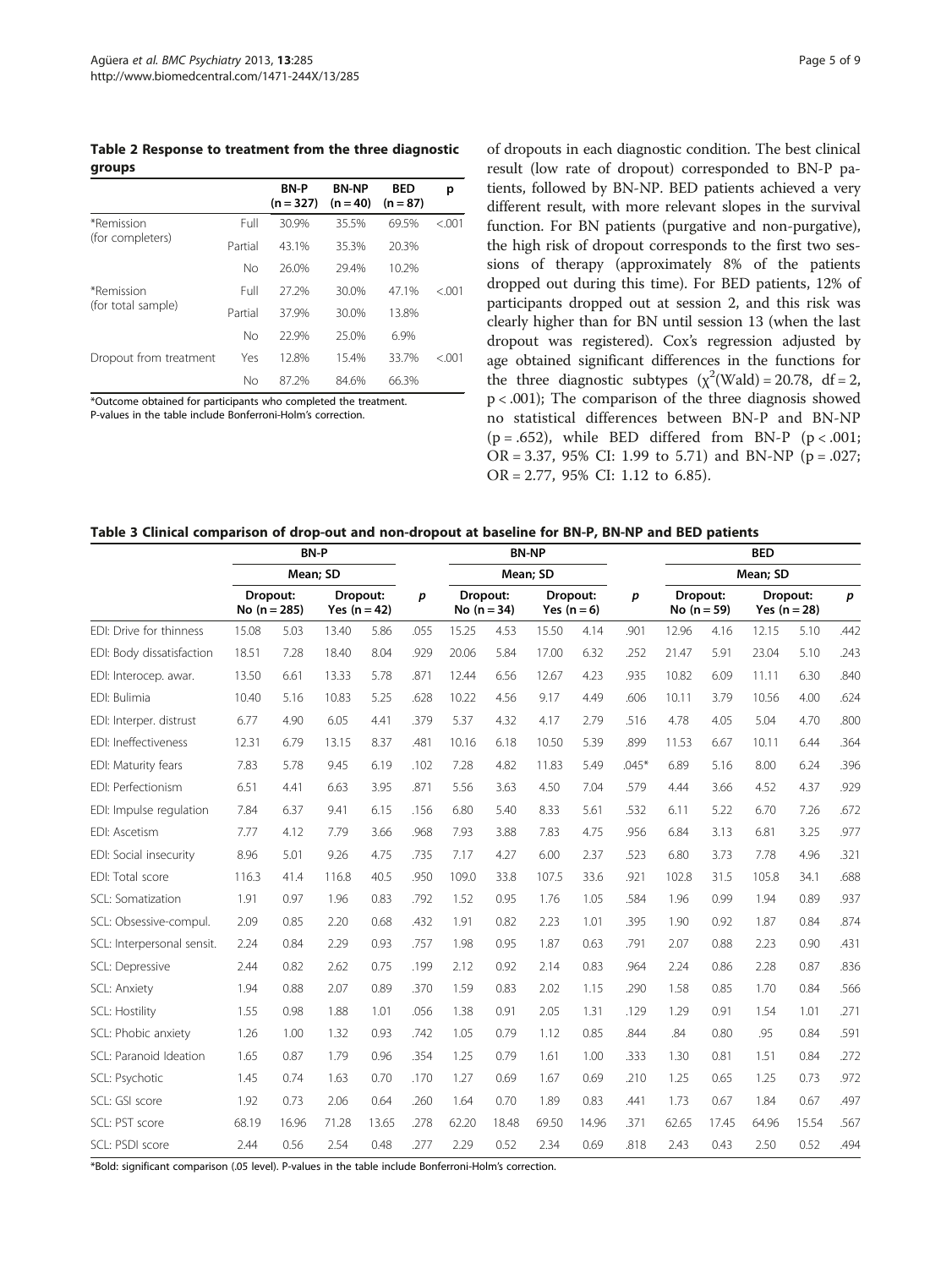<span id="page-4-0"></span>Table 2 Response to treatment from the three diagnostic groups

|                        |         | <b>BN-P</b><br>$(n = 327)$ | <b>BN-NP</b><br>$(n = 40)$ | <b>BED</b><br>$(n = 87)$ | р       |
|------------------------|---------|----------------------------|----------------------------|--------------------------|---------|
| *Remission             | Full    | 30.9%                      | 35.5%                      | 69.5%                    | < 0.001 |
| (for completers)       | Partial | 43.1%                      | 35.3%                      | 20.3%                    |         |
|                        | No      | 26.0%                      | 29.4%                      | 10.2%                    |         |
| *Remission             | Full    | 27.2%                      | 30.0%                      | 47.1%                    | < 0.01  |
| (for total sample)     | Partial | 37.9%                      | 30.0%                      | 13.8%                    |         |
|                        | No      | 22.9%                      | 25.0%                      | 6.9%                     |         |
| Dropout from treatment | Yes     | 12.8%                      | 15.4%                      | 33.7%                    | < 0.01  |
|                        | No      | 87 2%                      | 84.6%                      | 66.3%                    |         |

\*Outcome obtained for participants who completed the treatment.

P-values in the table include Bonferroni-Holm's correction.

of dropouts in each diagnostic condition. The best clinical result (low rate of dropout) corresponded to BN-P patients, followed by BN-NP. BED patients achieved a very different result, with more relevant slopes in the survival function. For BN patients (purgative and non-purgative), the high risk of dropout corresponds to the first two sessions of therapy (approximately 8% of the patients dropped out during this time). For BED patients, 12% of participants dropped out at session 2, and this risk was clearly higher than for BN until session 13 (when the last dropout was registered). Cox's regression adjusted by age obtained significant differences in the functions for the three diagnostic subtypes  $(\chi^2(\text{Wald}) = 20.78, df = 2)$ , p < .001); The comparison of the three diagnosis showed no statistical differences between BN-P and BN-NP ( $p = .652$ ), while BED differed from BN-P ( $p < .001$ ; OR = 3.37, 95% CI: 1.99 to 5.71) and BN-NP ( $p = .027$ ; OR = 2.77, 95% CI: 1.12 to 6.85).

#### Table 3 Clinical comparison of drop-out and non-dropout at baseline for BN-P, BN-NP and BED patients

|                            | <b>BN-P</b><br>Mean; SD    |       |       |                            | <b>BN-NP</b> |          |                           |       |                         | <b>BED</b><br>Mean; SD |       |                           |       |                            |                  |
|----------------------------|----------------------------|-------|-------|----------------------------|--------------|----------|---------------------------|-------|-------------------------|------------------------|-------|---------------------------|-------|----------------------------|------------------|
|                            |                            |       |       |                            |              | Mean; SD |                           |       |                         |                        |       |                           |       |                            |                  |
|                            | Dropout:<br>No $(n = 285)$ |       |       | Dropout:<br>Yes $(n = 42)$ | p            |          | Dropout:<br>No $(n = 34)$ |       | Dropout:<br>Yes $(n=6)$ | $\boldsymbol{p}$       |       | Dropout:<br>No $(n = 59)$ |       | Dropout:<br>Yes $(n = 28)$ | $\boldsymbol{p}$ |
| FDI: Drive for thinness    | 15.08                      | 5.03  | 13.40 | 5.86                       | .055         | 15.25    | 4.53                      | 15.50 | 4.14                    | .901                   | 12.96 | 4.16                      | 12.15 | 5.10                       | .442             |
| EDI: Body dissatisfaction  | 18.51                      | 7.28  | 18.40 | 8.04                       | .929         | 20.06    | 5.84                      | 17.00 | 6.32                    | .252                   | 21.47 | 5.91                      | 23.04 | 5.10                       | .243             |
| EDI: Interocep. awar.      | 13.50                      | 6.61  | 13.33 | 5.78                       | .871         | 12.44    | 6.56                      | 12.67 | 4.23                    | .935                   | 10.82 | 6.09                      | 11.11 | 6.30                       | .840             |
| EDI: Bulimia               | 10.40                      | 5.16  | 10.83 | 5.25                       | .628         | 10.22    | 4.56                      | 9.17  | 4.49                    | .606                   | 10.11 | 3.79                      | 10.56 | 4.00                       | .624             |
| EDI: Interper. distrust    | 6.77                       | 4.90  | 6.05  | 4.41                       | .379         | 5.37     | 4.32                      | 4.17  | 2.79                    | .516                   | 4.78  | 4.05                      | 5.04  | 4.70                       | .800             |
| EDI: Ineffectiveness       | 12.31                      | 6.79  | 13.15 | 8.37                       | .481         | 10.16    | 6.18                      | 10.50 | 5.39                    | .899                   | 11.53 | 6.67                      | 10.11 | 6.44                       | .364             |
| EDI: Maturity fears        | 7.83                       | 5.78  | 9.45  | 6.19                       | .102         | 7.28     | 4.82                      | 11.83 | 5.49                    | $.045*$                | 6.89  | 5.16                      | 8.00  | 6.24                       | .396             |
| FDI: Perfectionism         | 6.51                       | 4.41  | 6.63  | 3.95                       | .871         | 5.56     | 3.63                      | 4.50  | 7.04                    | .579                   | 4.44  | 3.66                      | 4.52  | 4.37                       | .929             |
| EDI: Impulse regulation    | 7.84                       | 6.37  | 9.41  | 6.15                       | .156         | 6.80     | 5.40                      | 8.33  | 5.61                    | .532                   | 6.11  | 5.22                      | 6.70  | 7.26                       | .672             |
| EDI: Ascetism              | 7.77                       | 4.12  | 7.79  | 3.66                       | .968         | 7.93     | 3.88                      | 7.83  | 4.75                    | .956                   | 6.84  | 3.13                      | 6.81  | 3.25                       | .977             |
| EDI: Social insecurity     | 8.96                       | 5.01  | 9.26  | 4.75                       | .735         | 7.17     | 4.27                      | 6.00  | 2.37                    | .523                   | 6.80  | 3.73                      | 7.78  | 4.96                       | .321             |
| EDI: Total score           | 116.3                      | 41.4  | 116.8 | 40.5                       | .950         | 109.0    | 33.8                      | 107.5 | 33.6                    | .921                   | 102.8 | 31.5                      | 105.8 | 34.1                       | .688             |
| SCL: Somatization          | 1.91                       | 0.97  | 1.96  | 0.83                       | .792         | 1.52     | 0.95                      | 1.76  | 1.05                    | .584                   | 1.96  | 0.99                      | 1.94  | 0.89                       | .937             |
| SCL: Obsessive-compul.     | 2.09                       | 0.85  | 2.20  | 0.68                       | .432         | 1.91     | 0.82                      | 2.23  | 1.01                    | .395                   | 1.90  | 0.92                      | 1.87  | 0.84                       | .874             |
| SCL: Interpersonal sensit. | 2.24                       | 0.84  | 2.29  | 0.93                       | .757         | 1.98     | 0.95                      | 1.87  | 0.63                    | .791                   | 2.07  | 0.88                      | 2.23  | 0.90                       | .431             |
| SCL: Depressive            | 2.44                       | 0.82  | 2.62  | 0.75                       | .199         | 2.12     | 0.92                      | 2.14  | 0.83                    | .964                   | 2.24  | 0.86                      | 2.28  | 0.87                       | .836             |
| SCL: Anxiety               | 1.94                       | 0.88  | 2.07  | 0.89                       | .370         | 1.59     | 0.83                      | 2.02  | 1.15                    | .290                   | 1.58  | 0.85                      | 1.70  | 0.84                       | .566             |
| SCL: Hostility             | 1.55                       | 0.98  | 1.88  | 1.01                       | .056         | 1.38     | 0.91                      | 2.05  | 1.31                    | .129                   | 1.29  | 0.91                      | 1.54  | 1.01                       | .271             |
| SCL: Phobic anxiety        | 1.26                       | 1.00  | 1.32  | 0.93                       | .742         | 1.05     | 0.79                      | 1.12  | 0.85                    | .844                   | .84   | 0.80                      | .95   | 0.84                       | .591             |
| SCL: Paranoid Ideation     | 1.65                       | 0.87  | 1.79  | 0.96                       | .354         | 1.25     | 0.79                      | 1.61  | 1.00                    | .333                   | 1.30  | 0.81                      | 1.51  | 0.84                       | .272             |
| SCL: Psychotic             | 1.45                       | 0.74  | 1.63  | 0.70                       | .170         | 1.27     | 0.69                      | 1.67  | 0.69                    | .210                   | 1.25  | 0.65                      | 1.25  | 0.73                       | .972             |
| SCL: GSI score             | 1.92                       | 0.73  | 2.06  | 0.64                       | .260         | 1.64     | 0.70                      | 1.89  | 0.83                    | .441                   | 1.73  | 0.67                      | 1.84  | 0.67                       | .497             |
| SCL: PST score             | 68.19                      | 16.96 | 71.28 | 13.65                      | .278         | 62.20    | 18.48                     | 69.50 | 14.96                   | .371                   | 62.65 | 17.45                     | 64.96 | 15.54                      | .567             |
| SCL: PSDI score            | 2.44                       | 0.56  | 2.54  | 0.48                       | .277         | 2.29     | 0.52                      | 2.34  | 0.69                    | .818                   | 2.43  | 0.43                      | 2.50  | 0.52                       | .494             |

\*Bold: significant comparison (.05 level). P-values in the table include Bonferroni-Holm's correction.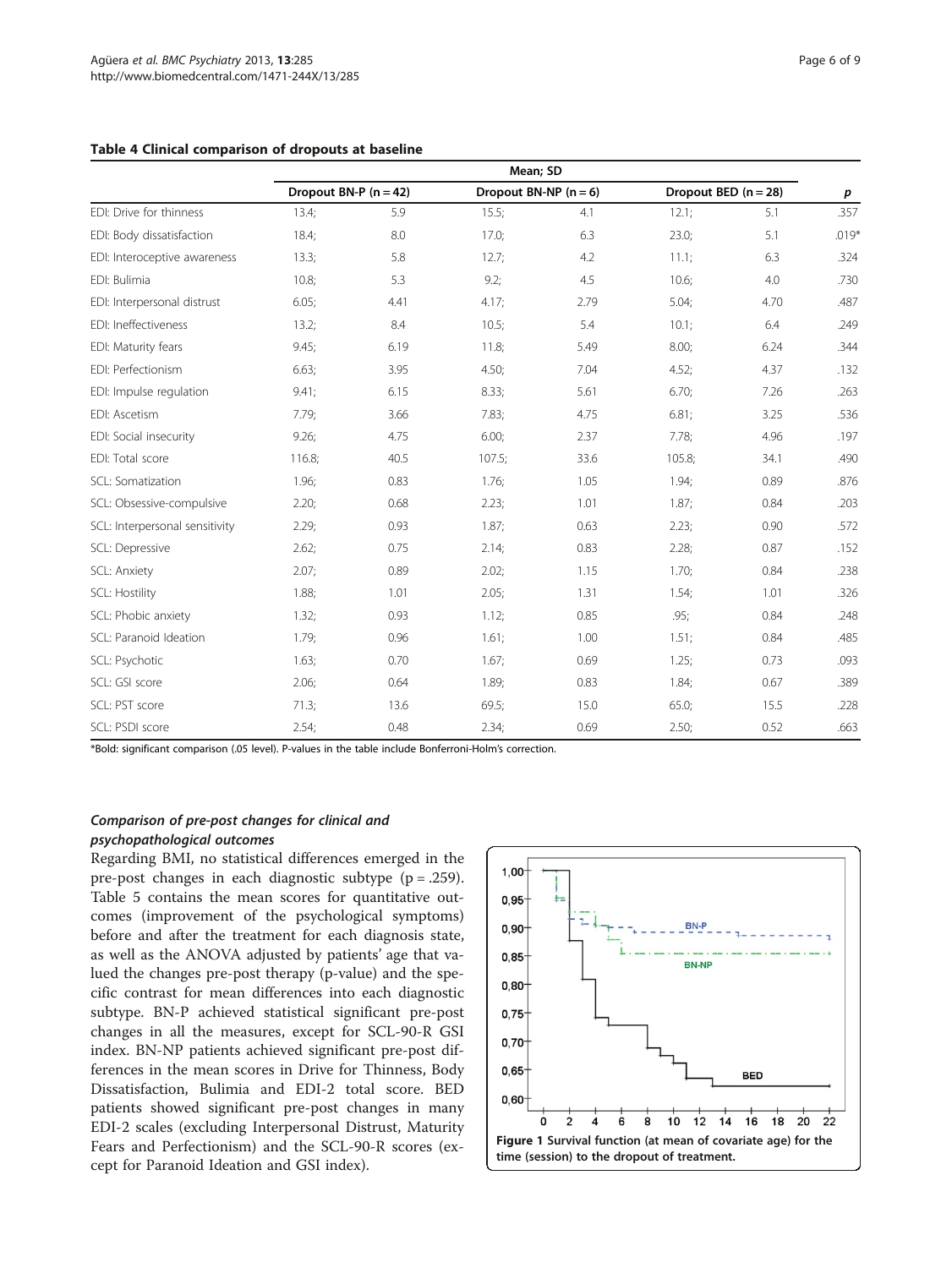#### <span id="page-5-0"></span>Table 4 Clinical comparison of dropouts at baseline

|                                | Mean; SD                |      |        |                         |                        |      |         |  |  |
|--------------------------------|-------------------------|------|--------|-------------------------|------------------------|------|---------|--|--|
|                                | Dropout BN-P $(n = 42)$ |      |        | Dropout BN-NP $(n = 6)$ | Dropout BED $(n = 28)$ | p    |         |  |  |
| EDI: Drive for thinness        | 13.4;                   | 5.9  | 15.5;  | 4.1                     | 12.1;                  | 5.1  | .357    |  |  |
| EDI: Body dissatisfaction      | 18.4;                   | 8.0  | 17.0;  | 6.3                     | 23.0;                  | 5.1  | $.019*$ |  |  |
| EDI: Interoceptive awareness   | 13.3;                   | 5.8  | 12.7;  | 4.2                     | 11.1;                  | 6.3  | .324    |  |  |
| EDI: Bulimia                   | 10.8;                   | 5.3  | 9.2;   | 4.5                     | 10.6;                  | 4.0  | .730    |  |  |
| EDI: Interpersonal distrust    | 6.05;                   | 4.41 | 4.17;  | 2.79                    | 5.04;                  | 4.70 | .487    |  |  |
| EDI: Ineffectiveness           | 13.2;                   | 8.4  | 10.5;  | 5.4                     | $10.1$ ;               | 6.4  | .249    |  |  |
| EDI: Maturity fears            | 9.45:                   | 6.19 | 11.8;  | 5.49                    | 8.00;                  | 6.24 | .344    |  |  |
| EDI: Perfectionism             | 6.63;                   | 3.95 | 4.50;  | 7.04                    | 4.52;                  | 4.37 | .132    |  |  |
| EDI: Impulse regulation        | 9.41:                   | 6.15 | 8.33;  | 5.61                    | 6.70;                  | 7.26 | .263    |  |  |
| EDI: Ascetism                  | 7.79;                   | 3.66 | 7.83;  | 4.75                    | 6.81;                  | 3.25 | .536    |  |  |
| EDI: Social insecurity         | 9.26                    | 4.75 | 6.00;  | 2.37                    | 7.78;                  | 4.96 | .197    |  |  |
| EDI: Total score               | 116.8;                  | 40.5 | 107.5; | 33.6                    | 105.8;                 | 34.1 | .490    |  |  |
| SCL: Somatization              | 1.96;                   | 0.83 | 1.76;  | 1.05                    | 1.94;                  | 0.89 | .876    |  |  |
| SCL: Obsessive-compulsive      | 2.20;                   | 0.68 | 2.23;  | 1.01                    | 1.87;                  | 0.84 | .203    |  |  |
| SCL: Interpersonal sensitivity | 2.29;                   | 0.93 | 1.87;  | 0.63                    | 2.23;                  | 0.90 | .572    |  |  |
| SCL: Depressive                | 2.62;                   | 0.75 | 2.14;  | 0.83                    | 2.28;                  | 0.87 | .152    |  |  |
| SCL: Anxiety                   | 2.07;                   | 0.89 | 2.02;  | 1.15                    | 1.70;                  | 0.84 | .238    |  |  |
| <b>SCL: Hostility</b>          | 1.88;                   | 1.01 | 2.05:  | 1.31                    | 1.54;                  | 1.01 | .326    |  |  |
| SCL: Phobic anxiety            | 1.32;                   | 0.93 | 1.12;  | 0.85                    | .95:                   | 0.84 | .248    |  |  |
| SCL: Paranoid Ideation         | 1.79;                   | 0.96 | 1.61;  | 1.00                    | 1.51;                  | 0.84 | .485    |  |  |
| SCL: Psychotic                 | 1.63;                   | 0.70 | 1.67;  | 0.69                    | 1.25;                  | 0.73 | .093    |  |  |
| SCL: GSI score                 | 2.06;                   | 0.64 | 1.89;  | 0.83                    | 1.84;                  | 0.67 | .389    |  |  |
| SCL: PST score                 | 71.3;                   | 13.6 | 69.5;  | 15.0                    | 65.0;                  | 15.5 | .228    |  |  |
| SCL: PSDI score                | 2.54;                   | 0.48 | 2.34;  | 0.69                    | 2.50;                  | 0.52 | .663    |  |  |

\*Bold: significant comparison (.05 level). P-values in the table include Bonferroni-Holm's correction.

## Comparison of pre-post changes for clinical and

## psychopathological outcomes

Regarding BMI, no statistical differences emerged in the pre-post changes in each diagnostic subtype (p = .259). Table [5](#page-6-0) contains the mean scores for quantitative outcomes (improvement of the psychological symptoms) before and after the treatment for each diagnosis state, as well as the ANOVA adjusted by patients' age that valued the changes pre-post therapy (p-value) and the specific contrast for mean differences into each diagnostic subtype. BN-P achieved statistical significant pre-post changes in all the measures, except for SCL-90-R GSI index. BN-NP patients achieved significant pre-post differences in the mean scores in Drive for Thinness, Body Dissatisfaction, Bulimia and EDI-2 total score. BED patients showed significant pre-post changes in many EDI-2 scales (excluding Interpersonal Distrust, Maturity Fears and Perfectionism) and the SCL-90-R scores (except for Paranoid Ideation and GSI index).

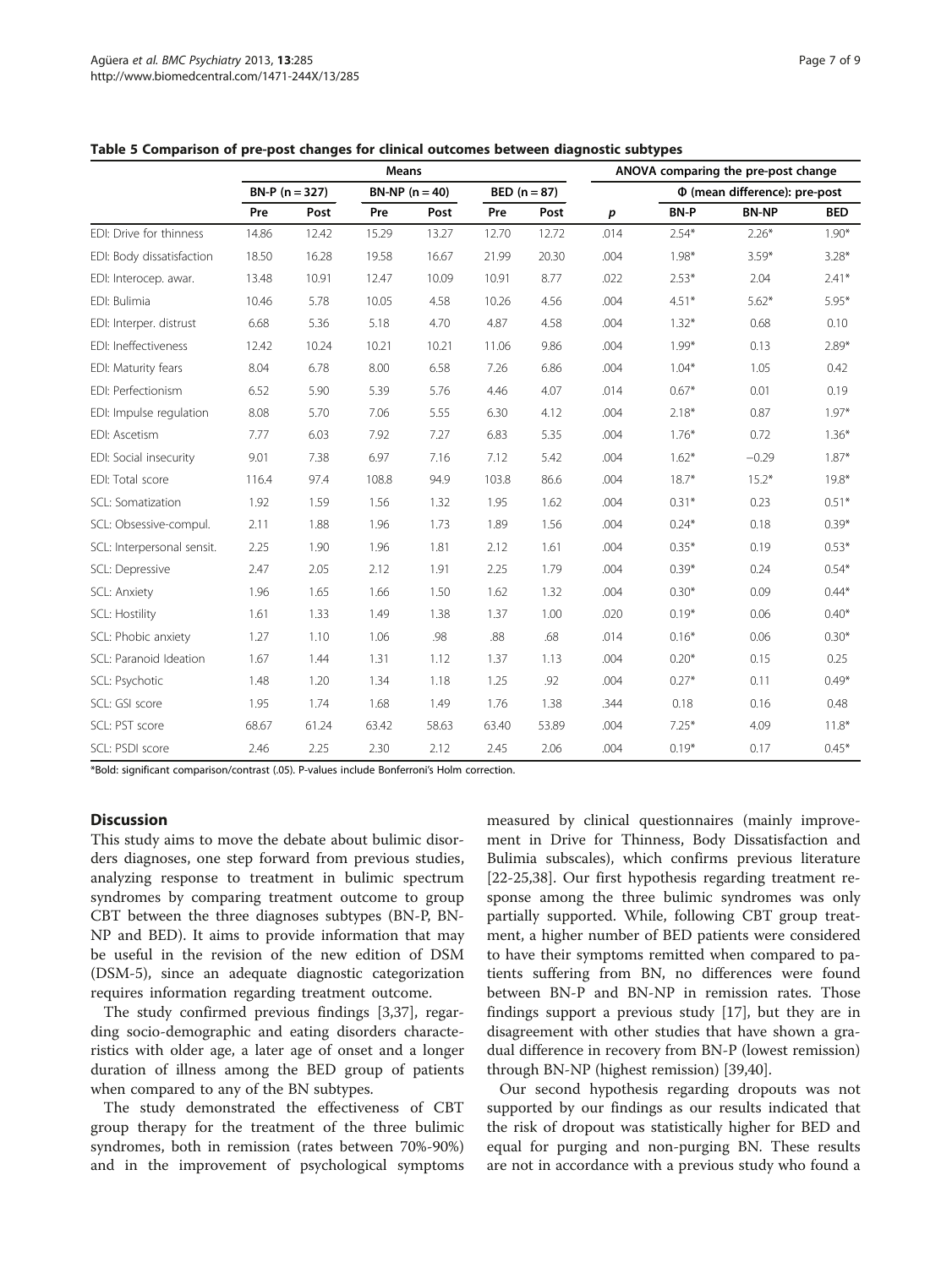|                            |                  |       | <b>Means</b> |                 |       |                | ANOVA comparing the pre-post change | <b>BED</b><br>$1.90*$<br>$3.28*$<br>$2.41*$ |              |         |  |  |  |
|----------------------------|------------------|-------|--------------|-----------------|-------|----------------|-------------------------------------|---------------------------------------------|--------------|---------|--|--|--|
|                            | $BN-P (n = 327)$ |       |              | $BN-NP(n = 40)$ |       | $BED (n = 87)$ |                                     | Φ (mean difference): pre-post               |              |         |  |  |  |
|                            | Pre              | Post  | Pre          | Post            | Pre   | Post           | $\boldsymbol{p}$                    | <b>BN-P</b>                                 | <b>BN-NP</b> |         |  |  |  |
| EDI: Drive for thinness    | 14.86            | 12.42 | 15.29        | 13.27           | 12.70 | 12.72          | .014                                | $2.54*$                                     | $2.26*$      |         |  |  |  |
| EDI: Body dissatisfaction  | 18.50            | 16.28 | 19.58        | 16.67           | 21.99 | 20.30          | .004                                | $1.98*$                                     | $3.59*$      |         |  |  |  |
| EDI: Interocep. awar.      | 13.48            | 10.91 | 12.47        | 10.09           | 10.91 | 8.77           | .022                                | $2.53*$                                     | 2.04         |         |  |  |  |
| EDI: Bulimia               | 10.46            | 5.78  | 10.05        | 4.58            | 10.26 | 4.56           | .004                                | $4.51*$                                     | $5.62*$      | $5.95*$ |  |  |  |
| EDI: Interper. distrust    | 6.68             | 5.36  | 5.18         | 4.70            | 4.87  | 4.58           | .004                                | $1.32*$                                     | 0.68         | 0.10    |  |  |  |
| EDI: Ineffectiveness       | 12.42            | 10.24 | 10.21        | 10.21           | 11.06 | 9.86           | .004                                | $1.99*$                                     | 0.13         | $2.89*$ |  |  |  |
| EDI: Maturity fears        | 8.04             | 6.78  | 8.00         | 6.58            | 7.26  | 6.86           | .004                                | $1.04*$                                     | 1.05         | 0.42    |  |  |  |
| EDI: Perfectionism         | 6.52             | 5.90  | 5.39         | 5.76            | 4.46  | 4.07           | .014                                | $0.67*$                                     | 0.01         | 0.19    |  |  |  |
| EDI: Impulse regulation    | 8.08             | 5.70  | 7.06         | 5.55            | 6.30  | 4.12           | .004                                | $2.18*$                                     | 0.87         | $1.97*$ |  |  |  |
| EDI: Ascetism              | 7.77             | 6.03  | 7.92         | 7.27            | 6.83  | 5.35           | .004                                | $1.76*$                                     | 0.72         | $1.36*$ |  |  |  |
| EDI: Social insecurity     | 9.01             | 7.38  | 6.97         | 7.16            | 7.12  | 5.42           | .004                                | $1.62*$                                     | $-0.29$      | $1.87*$ |  |  |  |
| EDI: Total score           | 116.4            | 97.4  | 108.8        | 94.9            | 103.8 | 86.6           | .004                                | $18.7*$                                     | $15.2*$      | $19.8*$ |  |  |  |
| SCL: Somatization          | 1.92             | 1.59  | 1.56         | 1.32            | 1.95  | 1.62           | .004                                | $0.31*$                                     | 0.23         | $0.51*$ |  |  |  |
| SCL: Obsessive-compul.     | 2.11             | 1.88  | 1.96         | 1.73            | 1.89  | 1.56           | .004                                | $0.24*$                                     | 0.18         | $0.39*$ |  |  |  |
| SCL: Interpersonal sensit. | 2.25             | 1.90  | 1.96         | 1.81            | 2.12  | 1.61           | .004                                | $0.35*$                                     | 0.19         | $0.53*$ |  |  |  |
| SCL: Depressive            | 2.47             | 2.05  | 2.12         | 1.91            | 2.25  | 1.79           | .004                                | $0.39*$                                     | 0.24         | $0.54*$ |  |  |  |
| SCL: Anxiety               | 1.96             | 1.65  | 1.66         | 1.50            | 1.62  | 1.32           | .004                                | $0.30*$                                     | 0.09         | $0.44*$ |  |  |  |
| <b>SCL: Hostility</b>      | 1.61             | 1.33  | 1.49         | 1.38            | 1.37  | 1.00           | .020                                | $0.19*$                                     | 0.06         | $0.40*$ |  |  |  |
| SCL: Phobic anxiety        | 1.27             | 1.10  | 1.06         | .98             | .88   | .68            | .014                                | $0.16*$                                     | 0.06         | $0.30*$ |  |  |  |
| SCL: Paranoid Ideation     | 1.67             | 1.44  | 1.31         | 1.12            | 1.37  | 1.13           | .004                                | $0.20*$                                     | 0.15         | 0.25    |  |  |  |
| SCL: Psychotic             | 1.48             | 1.20  | 1.34         | 1.18            | 1.25  | .92            | .004                                | $0.27*$                                     | 0.11         | $0.49*$ |  |  |  |
| SCL: GSI score             | 1.95             | 1.74  | 1.68         | 1.49            | 1.76  | 1.38           | .344                                | 0.18                                        | 0.16         | 0.48    |  |  |  |
| SCL: PST score             | 68.67            | 61.24 | 63.42        | 58.63           | 63.40 | 53.89          | .004                                | $7.25*$                                     | 4.09         | $11.8*$ |  |  |  |
| SCL: PSDI score            | 2.46             | 2.25  | 2.30         | 2.12            | 2.45  | 2.06           | .004                                | $0.19*$                                     | 0.17         | $0.45*$ |  |  |  |

<span id="page-6-0"></span>

\*Bold: significant comparison/contrast (.05). P-values include Bonferroni's Holm correction.

## **Discussion**

This study aims to move the debate about bulimic disorders diagnoses, one step forward from previous studies, analyzing response to treatment in bulimic spectrum syndromes by comparing treatment outcome to group CBT between the three diagnoses subtypes (BN-P, BN-NP and BED). It aims to provide information that may be useful in the revision of the new edition of DSM (DSM-5), since an adequate diagnostic categorization requires information regarding treatment outcome.

The study confirmed previous findings [\[3](#page-7-0)[,37](#page-8-0)], regarding socio-demographic and eating disorders characteristics with older age, a later age of onset and a longer duration of illness among the BED group of patients when compared to any of the BN subtypes.

The study demonstrated the effectiveness of CBT group therapy for the treatment of the three bulimic syndromes, both in remission (rates between 70%-90%) and in the improvement of psychological symptoms measured by clinical questionnaires (mainly improvement in Drive for Thinness, Body Dissatisfaction and Bulimia subscales), which confirms previous literature [[22-25,38\]](#page-8-0). Our first hypothesis regarding treatment response among the three bulimic syndromes was only partially supported. While, following CBT group treatment, a higher number of BED patients were considered to have their symptoms remitted when compared to patients suffering from BN, no differences were found between BN-P and BN-NP in remission rates. Those findings support a previous study [[17](#page-8-0)], but they are in disagreement with other studies that have shown a gradual difference in recovery from BN-P (lowest remission) through BN-NP (highest remission) [\[39,40\]](#page-8-0).

Our second hypothesis regarding dropouts was not supported by our findings as our results indicated that the risk of dropout was statistically higher for BED and equal for purging and non-purging BN. These results are not in accordance with a previous study who found a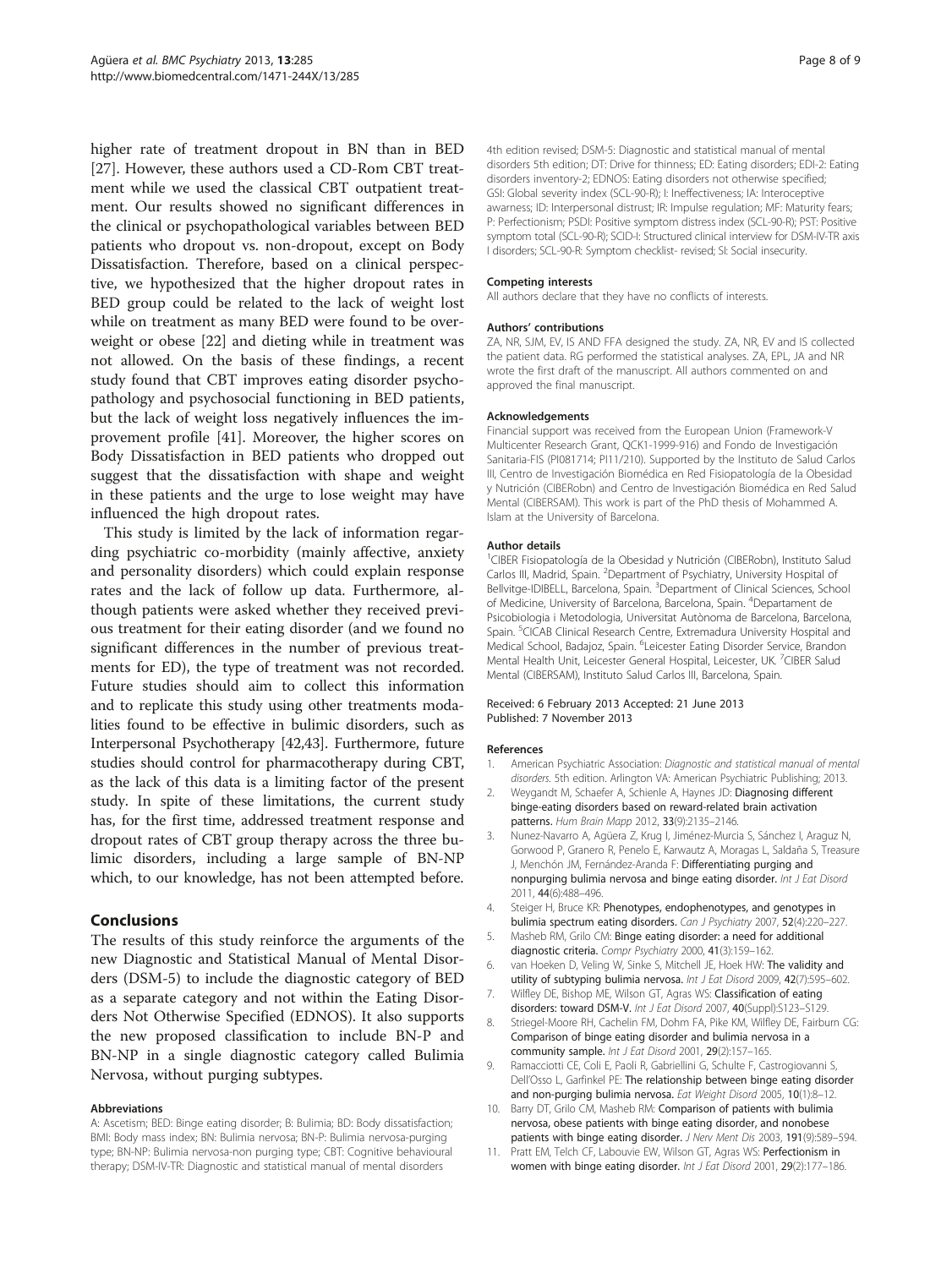<span id="page-7-0"></span>higher rate of treatment dropout in BN than in BED [[27\]](#page-8-0). However, these authors used a CD-Rom CBT treatment while we used the classical CBT outpatient treatment. Our results showed no significant differences in the clinical or psychopathological variables between BED patients who dropout vs. non-dropout, except on Body Dissatisfaction. Therefore, based on a clinical perspective, we hypothesized that the higher dropout rates in BED group could be related to the lack of weight lost while on treatment as many BED were found to be overweight or obese [[22\]](#page-8-0) and dieting while in treatment was not allowed. On the basis of these findings, a recent study found that CBT improves eating disorder psychopathology and psychosocial functioning in BED patients, but the lack of weight loss negatively influences the improvement profile [[41](#page-8-0)]. Moreover, the higher scores on Body Dissatisfaction in BED patients who dropped out suggest that the dissatisfaction with shape and weight in these patients and the urge to lose weight may have influenced the high dropout rates.

This study is limited by the lack of information regarding psychiatric co-morbidity (mainly affective, anxiety and personality disorders) which could explain response rates and the lack of follow up data. Furthermore, although patients were asked whether they received previous treatment for their eating disorder (and we found no significant differences in the number of previous treatments for ED), the type of treatment was not recorded. Future studies should aim to collect this information and to replicate this study using other treatments modalities found to be effective in bulimic disorders, such as Interpersonal Psychotherapy [[42,43](#page-8-0)]. Furthermore, future studies should control for pharmacotherapy during CBT, as the lack of this data is a limiting factor of the present study. In spite of these limitations, the current study has, for the first time, addressed treatment response and dropout rates of CBT group therapy across the three bulimic disorders, including a large sample of BN-NP which, to our knowledge, has not been attempted before.

## Conclusions

The results of this study reinforce the arguments of the new Diagnostic and Statistical Manual of Mental Disorders (DSM-5) to include the diagnostic category of BED as a separate category and not within the Eating Disorders Not Otherwise Specified (EDNOS). It also supports the new proposed classification to include BN-P and BN-NP in a single diagnostic category called Bulimia Nervosa, without purging subtypes.

#### Abbreviations

A: Ascetism; BED: Binge eating disorder; B: Bulimia; BD: Body dissatisfaction; BMI: Body mass index; BN: Bulimia nervosa; BN-P: Bulimia nervosa-purging type; BN-NP: Bulimia nervosa-non purging type; CBT: Cognitive behavioural therapy; DSM-IV-TR: Diagnostic and statistical manual of mental disorders

4th edition revised; DSM-5: Diagnostic and statistical manual of mental disorders 5th edition; DT: Drive for thinness; ED: Eating disorders; EDI-2: Eating disorders inventory-2; EDNOS: Eating disorders not otherwise specified; GSI: Global severity index (SCL-90-R); I: Ineffectiveness; IA: Interoceptive awarness; ID: Interpersonal distrust; IR: Impulse regulation; MF: Maturity fears; P: Perfectionism; PSDI: Positive symptom distress index (SCL-90-R); PST: Positive symptom total (SCL-90-R); SCID-I: Structured clinical interview for DSM-IV-TR axis I disorders; SCL-90-R: Symptom checklist- revised; SI: Social insecurity.

#### Competing interests

All authors declare that they have no conflicts of interests.

#### Authors' contributions

ZA, NR, SJM, EV, IS AND FFA designed the study. ZA, NR, EV and IS collected the patient data. RG performed the statistical analyses. ZA, EPL, JA and NR wrote the first draft of the manuscript. All authors commented on and approved the final manuscript.

#### Acknowledgements

Financial support was received from the European Union (Framework-V Multicenter Research Grant, QCK1-1999-916) and Fondo de Investigación Sanitaria-FIS (PI081714; PI11/210). Supported by the Instituto de Salud Carlos III, Centro de Investigación Biomédica en Red Fisiopatología de la Obesidad y Nutrición (CIBERobn) and Centro de Investigación Biomédica en Red Salud Mental (CIBERSAM). This work is part of the PhD thesis of Mohammed A. Islam at the University of Barcelona.

#### Author details

<sup>1</sup>CIBER Fisiopatología de la Obesidad y Nutrición (CIBERobn), Instituto Salud Carlos III, Madrid, Spain. <sup>2</sup>Department of Psychiatry, University Hospital of Bellvitge-IDIBELL, Barcelona, Spain. <sup>3</sup>Department of Clinical Sciences, School of Medicine, University of Barcelona, Barcelona, Spain. <sup>4</sup>Departament de Psicobiologia i Metodologia, Universitat Autònoma de Barcelona, Barcelona, Spain. <sup>5</sup>CICAB Clinical Research Centre, Extremadura University Hospital and Medical School, Badajoz, Spain. <sup>6</sup>Leicester Eating Disorder Service, Brandon Mental Health Unit, Leicester General Hospital, Leicester, UK. <sup>7</sup>CIBER Salud Mental (CIBERSAM), Instituto Salud Carlos III, Barcelona, Spain.

#### Received: 6 February 2013 Accepted: 21 June 2013 Published: 7 November 2013

#### References

- 1. American Psychiatric Association: Diagnostic and statistical manual of mental disorders. 5th edition. Arlington VA: American Psychiatric Publishing; 2013.
- 2. Weygandt M, Schaefer A, Schienle A, Haynes JD: Diagnosing different binge-eating disorders based on reward-related brain activation patterns. Hum Brain Mapp 2012, 33(9):2135–2146.
- 3. Nunez-Navarro A, Agüera Z, Krug I, Jiménez-Murcia S, Sánchez I, Araguz N, Gorwood P, Granero R, Penelo E, Karwautz A, Moragas L, Saldaña S, Treasure J, Menchón JM, Fernández-Aranda F: Differentiating purging and nonpurging bulimia nervosa and binge eating disorder. Int J Eat Disord 2011, 44(6):488–496.
- 4. Steiger H, Bruce KR: Phenotypes, endophenotypes, and genotypes in bulimia spectrum eating disorders. Can J Psychiatry 2007, 52(4):220–227.
- 5. Masheb RM, Grilo CM: Binge eating disorder: a need for additional diagnostic criteria. Compr Psychiatry 2000, 41(3):159–162.
- 6. van Hoeken D, Veling W, Sinke S, Mitchell JE, Hoek HW: The validity and utility of subtyping bulimia nervosa. Int J Eat Disord 2009, 42(7):595-602.
- 7. Wilfley DE, Bishop ME, Wilson GT, Agras WS: Classification of eating disorders: toward DSM-V. Int J Eat Disord 2007, 40(Suppl):S123-S129.
- 8. Striegel-Moore RH, Cachelin FM, Dohm FA, Pike KM, Wilfley DE, Fairburn CG: Comparison of binge eating disorder and bulimia nervosa in a community sample. Int J Eat Disord 2001, 29(2):157-165.
- 9. Ramacciotti CE, Coli E, Paoli R, Gabriellini G, Schulte F, Castrogiovanni S, Dell'Osso L, Garfinkel PE: The relationship between binge eating disorder and non-purging bulimia nervosa. Eat Weight Disord 2005, 10(1):8–12.
- 10. Barry DT, Grilo CM, Masheb RM: Comparison of patients with bulimia nervosa, obese patients with binge eating disorder, and nonobese patients with binge eating disorder. J Nerv Ment Dis 2003, 191(9):589-594.
- 11. Pratt EM, Telch CF, Labouvie EW, Wilson GT, Agras WS: Perfectionism in women with binge eating disorder. Int J Eat Disord 2001, 29(2):177–186.